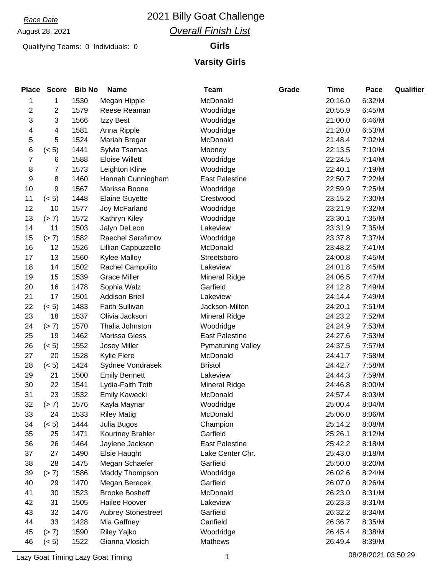# August 28, 2021

### *Race Date* 2021 Billy Goat Challenge *Overall Finish List*

Qualifying Teams: 0 Individuals: 0 **Girls**

#### **Varsity Girls**

| <b>Place</b>   | <b>Score</b> | <b>Bib No</b> | <b>Name</b>               | <b>Team</b>              | Grade | <b>Time</b> | Pace   | <b>Qualifier</b> |
|----------------|--------------|---------------|---------------------------|--------------------------|-------|-------------|--------|------------------|
| 1              | 1            | 1530          | Megan Hipple              | McDonald                 |       | 20:16.0     | 6:32/M |                  |
| $\overline{2}$ | 2            | 1579          | Reese Reaman              | Woodridge                |       | 20:55.9     | 6:45/M |                  |
| 3              | 3            | 1566          | Izzy Best                 | Woodridge                |       | 21:00.0     | 6:46/M |                  |
| 4              | 4            | 1581          | Anna Ripple               | Woodridge                |       | 21:20.0     | 6:53/M |                  |
| 5              | 5            | 1524          | Mariah Bregar             | McDonald                 |       | 21:48.4     | 7:02/M |                  |
| 6              | (< 5)        | 1441          | Sylvia Tsarnas            | Mooney                   |       | 22:13.5     | 7:10/M |                  |
| $\overline{7}$ | 6            | 1588          | <b>Eloise Willett</b>     | Woodridge                |       | 22:24.5     | 7:14/M |                  |
| 8              | 7            | 1573          | Leighton Kline            | Woodridge                |       | 22:40.1     | 7:19/M |                  |
| 9              | 8            | 1460          | Hannah Cunningham         | <b>East Palestine</b>    |       | 22:50.7     | 7:22/M |                  |
| 10             | 9            | 1567          | Marissa Boone             | Woodridge                |       | 22:59.9     | 7:25/M |                  |
| 11             | (< 5)        | 1448          | <b>Elaine Guyette</b>     | Crestwood                |       | 23:15.2     | 7:30/M |                  |
| 12             | 10           | 1577          | Joy McFarland             | Woodridge                |       | 23:21.9     | 7:32/M |                  |
| 13             | (> 7)        | 1572          | Kathryn Kiley             | Woodridge                |       | 23:30.1     | 7:35/M |                  |
| 14             | 11           | 1503          | Jalyn DeLeon              | Lakeview                 |       | 23:31.9     | 7:35/M |                  |
| 15             | (> 7)        | 1582          | Raechel Sarafimov         | Woodridge                |       | 23:37.8     | 7:37/M |                  |
| 16             | 12           | 1526          | Lillian Cappuzzello       | McDonald                 |       | 23:48.2     | 7:41/M |                  |
| 17             | 13           | 1560          | <b>Kylee Malloy</b>       | Streetsboro              |       | 24:00.8     | 7:45/M |                  |
| 18             | 14           | 1502          | Rachel Campolito          | Lakeview                 |       | 24:01.8     | 7:45/M |                  |
| 19             | 15           | 1539          | <b>Grace Miller</b>       | Mineral Ridge            |       | 24:06.5     | 7:47/M |                  |
| 20             | 16           | 1478          | Sophia Walz               | Garfield                 |       | 24:12.8     | 7:49/M |                  |
| 21             | 17           | 1501          | <b>Addison Briell</b>     | Lakeview                 |       | 24:14.4     | 7:49/M |                  |
| 22             | (< 5)        | 1483          | Faith Sullivan            | Jackson-Milton           |       | 24:20.1     | 7:51/M |                  |
| 23             | 18           | 1537          | Olivia Jackson            | Mineral Ridge            |       | 24:23.2     | 7:52/M |                  |
| 24             | (> 7)        | 1570          | Thalia Johnston           | Woodridge                |       | 24:24.9     | 7:53/M |                  |
| 25             | 19           | 1462          | Marissa Giess             | <b>East Palestine</b>    |       | 24:27.6     | 7:53/M |                  |
| 26             | (< 5)        | 1552          | Josey Miller              | <b>Pymatuning Valley</b> |       | 24:37.5     | 7:57/M |                  |
| 27             | 20           | 1528          | Kylie Flere               | McDonald                 |       | 24:41.7     | 7:58/M |                  |
| 28             | (< 5)        | 1424          | Sydnee Vondrasek          | <b>Bristol</b>           |       | 24:42.7     | 7:58/M |                  |
| 29             | 21           | 1500          | <b>Emily Bennett</b>      | Lakeview                 |       | 24:44.3     | 7:59/M |                  |
| 30             | 22           | 1541          | Lydia-Faith Toth          | <b>Mineral Ridge</b>     |       | 24:46.8     | 8:00/M |                  |
| 31             | 23           | 1532          | <b>Emily Kawecki</b>      | McDonald                 |       | 24:57.4     | 8:03/M |                  |
| 32             | (> 7)        | 1576          | Kayla Maynar              | Woodridge                |       | 25:00.4     | 8:04/M |                  |
| 33             | 24           | 1533          | <b>Riley Matig</b>        | McDonald                 |       | 25:06.0     | 8:06/M |                  |
| 34             | (< 5)        | 1444          | Julia Bugos               | Champion                 |       | 25:14.2     | 8:08/M |                  |
| 35             | 25           | 1471          | Kourtney Brahler          | Garfield                 |       | 25:26.1     | 8:12/M |                  |
| 36             | 26           | 1464          | Jaylene Jackson           | <b>East Palestine</b>    |       | 25:42.2     | 8:18/M |                  |
| 37             | 27           | 1490          | Elsie Haught              | Lake Center Chr.         |       | 25:43.0     | 8:18/M |                  |
| 38             | 28           | 1475          | Megan Schaefer            | Garfield                 |       | 25:50.0     | 8:20/M |                  |
| 39             | (> 7)        | 1586          | Maddy Thompson            | Woodridge                |       | 26:02.6     | 8:24/M |                  |
| 40             | 29           | 1470          | Megan Berecek             | Garfield                 |       | 26:07.0     | 8:26/M |                  |
| 41             | 30           | 1523          | <b>Brooke Bosheff</b>     | McDonald                 |       | 26:23.0     | 8:31/M |                  |
| 42             | 31           | 1505          | Hailee Hoover             | Lakeview                 |       | 26:23.3     | 8:31/M |                  |
| 43             | 32           | 1476          | <b>Aubrey Stonestreet</b> | Garfield                 |       | 26:32.2     | 8:34/M |                  |
| 44             | 33           | 1428          | Mia Gaffney               | Canfield                 |       | 26:36.7     | 8:35/M |                  |
| 45             | (> 7)        | 1590          | Riley Yajko               | Woodridge                |       | 26:45.4     | 8:38/M |                  |
| 46             | (< 5)        | 1522          | Gianna Vlosich            | Mathews                  |       | 26:49.4     | 8:39/M |                  |

Lazy Goat Timing Lazy Goat Timing 1 08/28/2021 03:50:29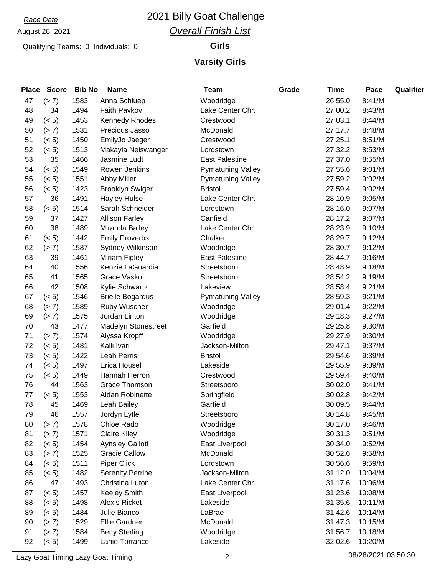# August 28, 2021

#### *Race Date* 2021 Billy Goat Challenge *Overall Finish List*

Qualifying Teams: 0 Individuals: 0 **Girls**

## **Varsity Girls**

| <b>Place</b> | <b>Score</b> | <b>Bib No</b> | <b>Name</b>                | <b>Team</b>              | Grade | <b>Time</b> | Pace    | <b>Qualifier</b> |
|--------------|--------------|---------------|----------------------------|--------------------------|-------|-------------|---------|------------------|
| 47           | (> 7)        | 1583          | Anna Schluep               | Woodridge                |       | 26:55.0     | 8:41/M  |                  |
| 48           | 34           | 1494          | Faith Pavkov               | Lake Center Chr.         |       | 27:00.2     | 8:43/M  |                  |
| 49           | (< 5)        | 1453          | <b>Kennedy Rhodes</b>      | Crestwood                |       | 27:03.1     | 8:44/M  |                  |
| 50           | (> 7)        | 1531          | Precious Jasso             | McDonald                 |       | 27:17.7     | 8:48/M  |                  |
| 51           | (< 5)        | 1450          | EmilyJo Jaeger             | Crestwood                |       | 27:25.1     | 8:51/M  |                  |
| 52           | (< 5)        | 1513          | Makayla Neiswanger         | Lordstown                |       | 27:32.2     | 8:53/M  |                  |
| 53           | 35           | 1466          | Jasmine Ludt               | <b>East Palestine</b>    |       | 27:37.0     | 8:55/M  |                  |
| 54           | (< 5)        | 1549          | Rowen Jenkins              | <b>Pymatuning Valley</b> |       | 27:55.6     | 9:01/M  |                  |
| 55           | (< 5)        | 1551          | Abby Miller                | <b>Pymatuning Valley</b> |       | 27:59.2     | 9:02/M  |                  |
| 56           | (< 5)        | 1423          | <b>Brooklyn Swiger</b>     | <b>Bristol</b>           |       | 27:59.4     | 9:02/M  |                  |
| 57           | 36           | 1491          | <b>Hayley Hulse</b>        | Lake Center Chr.         |       | 28:10.9     | 9:05/M  |                  |
| 58           | (< 5)        | 1514          | Sarah Schneider            | Lordstown                |       | 28:16.0     | 9:07/M  |                  |
| 59           | 37           | 1427          | <b>Allison Farley</b>      | Canfield                 |       | 28:17.2     | 9:07/M  |                  |
| 60           | 38           | 1489          | Miranda Bailey             | Lake Center Chr.         |       | 28:23.9     | 9:10/M  |                  |
| 61           | (< 5)        | 1442          | <b>Emily Proverbs</b>      | Chalker                  |       | 28:29.7     | 9:12/M  |                  |
| 62           | (> 7)        | 1587          | Sydney Wilkinson           | Woodridge                |       | 28:30.7     | 9:12/M  |                  |
| 63           | 39           | 1461          | Miriam Figley              | <b>East Palestine</b>    |       | 28:44.7     | 9:16/M  |                  |
| 64           | 40           | 1556          | Kenzie LaGuardia           | Streetsboro              |       | 28:48.9     | 9:18/M  |                  |
| 65           | 41           | 1565          | Grace Vasko                | Streetsboro              |       | 28:54.2     | 9:19/M  |                  |
| 66           | 42           | 1508          | Kylie Schwartz             | Lakeview                 |       | 28:58.4     | 9:21/M  |                  |
| 67           | (< 5)        | 1546          | <b>Brielle Bogardus</b>    | <b>Pymatuning Valley</b> |       | 28:59.3     | 9:21/M  |                  |
| 68           | (> 7)        | 1589          | Ruby Wuscher               | Woodridge                |       | 29:01.4     | 9:22/M  |                  |
| 69           | (> 7)        | 1575          | Jordan Linton              | Woodridge                |       | 29:18.3     | 9:27/M  |                  |
| 70           | 43           | 1477          | <b>Madelyn Stonestreet</b> | Garfield                 |       | 29:25.8     | 9:30/M  |                  |
| 71           | (> 7)        | 1574          | Alyssa Kropff              | Woodridge                |       | 29:27.9     | 9:30/M  |                  |
| 72           | (< 5)        | 1481          | Kalli Ivari                | Jackson-Milton           |       | 29:47.1     | 9:37/M  |                  |
| 73           | (< 5)        | 1422          | <b>Leah Perris</b>         | <b>Bristol</b>           |       | 29:54.6     | 9:39/M  |                  |
| 74           | (< 5)        | 1497          | Erica Housel               | Lakeside                 |       | 29:55.9     | 9:39/M  |                  |
| 75           | (< 5)        | 1449          | Hannah Herron              | Crestwood                |       | 29:59.4     | 9:40/M  |                  |
| 76           | 44           | 1563          | <b>Grace Thomson</b>       | Streetsboro              |       | 30:02.0     | 9:41/M  |                  |
| 77           | (< 5)        | 1553          | Aidan Robinette            | Springfield              |       | 30:02.8     | 9:42/M  |                  |
| 78           | 45           | 1469          | Leah Bailey                | Garfield                 |       | 30:09.5     | 9:44/M  |                  |
| 79           | 46           | 1557          | Jordyn Lytle               | Streetsboro              |       | 30:14.8     | 9:45/M  |                  |
| 80           | (> 7)        | 1578          | Chloe Rado                 | Woodridge                |       | 30:17.0     | 9:46/M  |                  |
| 81           | (> 7)        | 1571          | <b>Claire Kiley</b>        | Woodridge                |       | 30:31.3     | 9:51/M  |                  |
| 82           | (< 5)        | 1454          | Aynsley Galioti            | East Liverpool           |       | 30:34.0     | 9:52/M  |                  |
| 83           | (> 7)        | 1525          | <b>Gracie Callow</b>       | McDonald                 |       | 30:52.6     | 9:58/M  |                  |
| 84           | (< 5)        | 1511          | <b>Piper Click</b>         | Lordstown                |       | 30:56.6     | 9:59/M  |                  |
| 85           | (< 5)        | 1482          | <b>Serenity Perrine</b>    | Jackson-Milton           |       | 31:12.0     | 10:04/M |                  |
| 86           | 47           | 1493          | Christina Luton            | Lake Center Chr.         |       | 31:17.6     | 10:06/M |                  |
| 87           | (< 5)        | 1457          | <b>Keeley Smith</b>        | East Liverpool           |       | 31:23.6     | 10:08/M |                  |
| 88           | (< 5)        | 1498          | <b>Alexis Ricket</b>       | Lakeside                 |       | 31:35.6     | 10:11/M |                  |
| 89           | (< 5)        | 1484          | Julie Bianco               | LaBrae                   |       | 31:42.6     | 10:14/M |                  |
| 90           | (> 7)        | 1529          | <b>Ellie Gardner</b>       | McDonald                 |       | 31:47.3     | 10:15/M |                  |
| 91           | (> 7)        | 1584          | <b>Betty Sterling</b>      | Woodridge                |       | 31:56.7     | 10:18/M |                  |
| 92           | (< 5)        | 1499          | Lanie Torrance             | Lakeside                 |       | 32:02.6     | 10:20/M |                  |

Lazy Goat Timing Lazy Goat Timing 2 08/28/2021 03:50:30